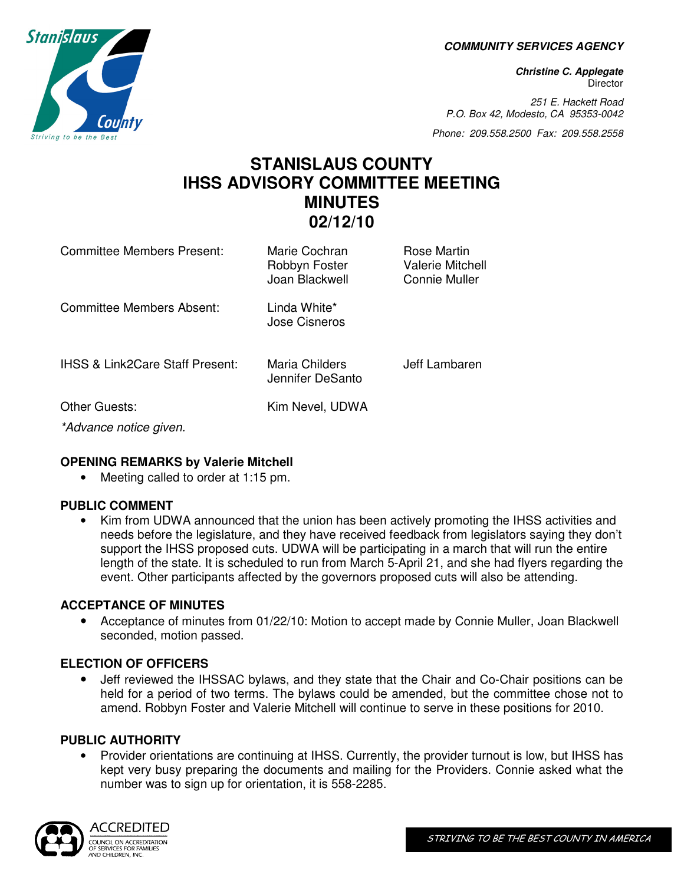**COMMUNITY SERVICES AGENCY** 

**Christine C. Applegate Director** 

251 E. Hackett Road P.O. Box 42, Modesto, CA 95353-0042

Phone: 209.558.2500 Fax: 209.558.2558

# **STANISLAUS COUNTY IHSS ADVISORY COMMITTEE MEETING MINUTES 02/12/10**

Committee Members Present: Marie Cochran Bose Martin Robbyn Foster Valerie Mitchell Joan Blackwell Connie Muller Committee Members Absent: Linda White\* Jose Cisneros IHSS & Link2Care Staff Present: Maria Childers **Jeff Lambaren** Jennifer DeSanto

Other Guests: Kim Nevel, UDWA

\*Advance notice given.

#### **OPENING REMARKS by Valerie Mitchell**

• Meeting called to order at 1:15 pm.

### **PUBLIC COMMENT**

• Kim from UDWA announced that the union has been actively promoting the IHSS activities and needs before the legislature, and they have received feedback from legislators saying they don't support the IHSS proposed cuts. UDWA will be participating in a march that will run the entire length of the state. It is scheduled to run from March 5-April 21, and she had flyers regarding the event. Other participants affected by the governors proposed cuts will also be attending.

### **ACCEPTANCE OF MINUTES**

• Acceptance of minutes from 01/22/10: Motion to accept made by Connie Muller, Joan Blackwell seconded, motion passed.

### **ELECTION OF OFFICERS**

• Jeff reviewed the IHSSAC bylaws, and they state that the Chair and Co-Chair positions can be held for a period of two terms. The bylaws could be amended, but the committee chose not to amend. Robbyn Foster and Valerie Mitchell will continue to serve in these positions for 2010.

#### **PUBLIC AUTHORITY**

• Provider orientations are continuing at IHSS. Currently, the provider turnout is low, but IHSS has kept very busy preparing the documents and mailing for the Providers. Connie asked what the number was to sign up for orientation, it is 558-2285.

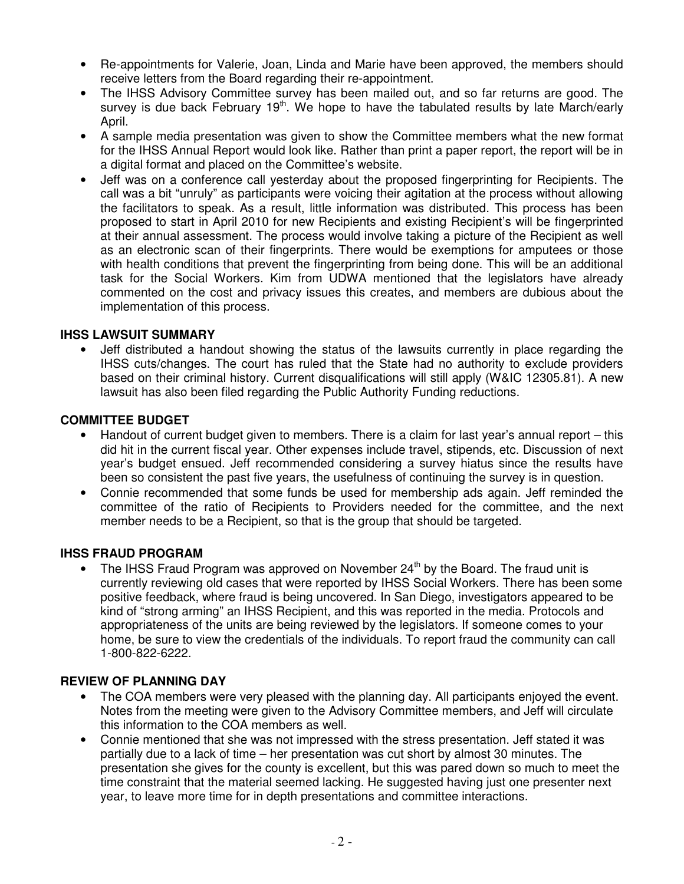- Re-appointments for Valerie, Joan, Linda and Marie have been approved, the members should receive letters from the Board regarding their re-appointment.
- The IHSS Advisory Committee survey has been mailed out, and so far returns are good. The survey is due back February 19<sup>th</sup>. We hope to have the tabulated results by late March/early April.
- A sample media presentation was given to show the Committee members what the new format for the IHSS Annual Report would look like. Rather than print a paper report, the report will be in a digital format and placed on the Committee's website.
- Jeff was on a conference call yesterday about the proposed fingerprinting for Recipients. The call was a bit "unruly" as participants were voicing their agitation at the process without allowing the facilitators to speak. As a result, little information was distributed. This process has been proposed to start in April 2010 for new Recipients and existing Recipient's will be fingerprinted at their annual assessment. The process would involve taking a picture of the Recipient as well as an electronic scan of their fingerprints. There would be exemptions for amputees or those with health conditions that prevent the fingerprinting from being done. This will be an additional task for the Social Workers. Kim from UDWA mentioned that the legislators have already commented on the cost and privacy issues this creates, and members are dubious about the implementation of this process.

### **IHSS LAWSUIT SUMMARY**

• Jeff distributed a handout showing the status of the lawsuits currently in place regarding the IHSS cuts/changes. The court has ruled that the State had no authority to exclude providers based on their criminal history. Current disqualifications will still apply (W&IC 12305.81). A new lawsuit has also been filed regarding the Public Authority Funding reductions.

## **COMMITTEE BUDGET**

- Handout of current budget given to members. There is a claim for last year's annual report this did hit in the current fiscal year. Other expenses include travel, stipends, etc. Discussion of next year's budget ensued. Jeff recommended considering a survey hiatus since the results have been so consistent the past five years, the usefulness of continuing the survey is in question.
- Connie recommended that some funds be used for membership ads again. Jeff reminded the committee of the ratio of Recipients to Providers needed for the committee, and the next member needs to be a Recipient, so that is the group that should be targeted.

### **IHSS FRAUD PROGRAM**

The IHSS Fraud Program was approved on November  $24<sup>th</sup>$  by the Board. The fraud unit is currently reviewing old cases that were reported by IHSS Social Workers. There has been some positive feedback, where fraud is being uncovered. In San Diego, investigators appeared to be kind of "strong arming" an IHSS Recipient, and this was reported in the media. Protocols and appropriateness of the units are being reviewed by the legislators. If someone comes to your home, be sure to view the credentials of the individuals. To report fraud the community can call 1-800-822-6222.

### **REVIEW OF PLANNING DAY**

- The COA members were very pleased with the planning day. All participants enjoyed the event. Notes from the meeting were given to the Advisory Committee members, and Jeff will circulate this information to the COA members as well.
- Connie mentioned that she was not impressed with the stress presentation. Jeff stated it was partially due to a lack of time – her presentation was cut short by almost 30 minutes. The presentation she gives for the county is excellent, but this was pared down so much to meet the time constraint that the material seemed lacking. He suggested having just one presenter next year, to leave more time for in depth presentations and committee interactions.